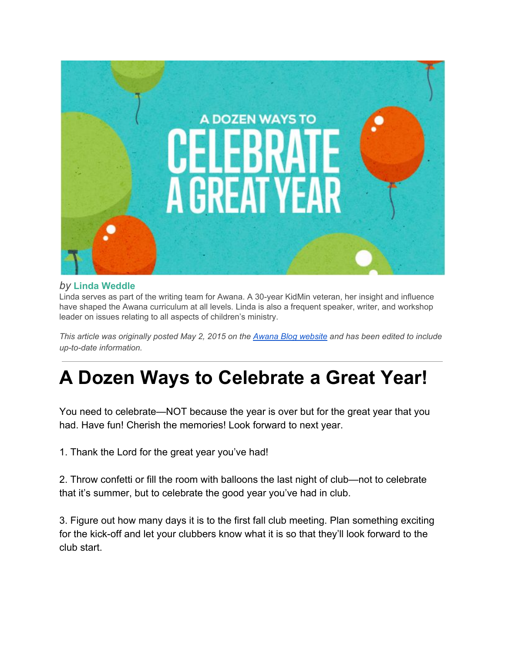

## *by* **Linda [Weddle](http://blog.awana.org/author/lindaw/)**

Linda serves as part of the writing team for Awana. A 30-year KidMin veteran, her insight and influence have shaped the Awana curriculum at all levels. Linda is also a frequent speaker, writer, and workshop leader on issues relating to all aspects of children's ministry.

This article was originally posted May 2, 2015 on the Awana Blog [website](http://blog.awana.org/a-dozen-ways-to-celebrate-a-great-year/) and has been edited to include *up-to-date information.*

## **A Dozen Ways to Celebrate a Great Year!**

You need to celebrate—NOT because the year is over but for the great year that you had. Have fun! Cherish the memories! Look forward to next year.

1. Thank the Lord for the great year you've had!

2. Throw confetti or fill the room with balloons the last night of club—not to celebrate that it's summer, but to celebrate the good year you've had in club.

3. Figure out how many days it is to the first fall club meeting. Plan something exciting for the kick-off and let your clubbers know what it is so that they'll look forward to the club start.